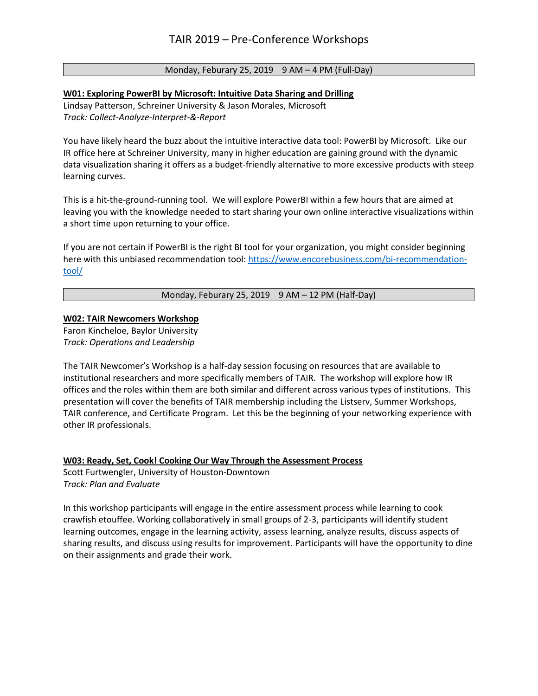# Monday, Feburary 25, 2019 9 AM - 4 PM (Full-Day)

## **W01: Exploring PowerBI by Microsoft: Intuitive Data Sharing and Drilling**

Lindsay Patterson, Schreiner University & Jason Morales, Microsoft *Track: Collect-Analyze-Interpret-&-Report*

You have likely heard the buzz about the intuitive interactive data tool: PowerBI by Microsoft. Like our IR office here at Schreiner University, many in higher education are gaining ground with the dynamic data visualization sharing it offers as a budget-friendly alternative to more excessive products with steep learning curves.

This is a hit-the-ground-running tool. We will explore PowerBI within a few hours that are aimed at leaving you with the knowledge needed to start sharing your own online interactive visualizations within a short time upon returning to your office.

If you are not certain if PowerBI is the right BI tool for your organization, you might consider beginning here with this unbiased recommendation tool[: https://www.encorebusiness.com/bi-recommendation](https://www.encorebusiness.com/bi-recommendation-tool/)[tool/](https://www.encorebusiness.com/bi-recommendation-tool/)

Monday, Feburary 25, 2019 9 AM – 12 PM (Half-Day)

# **W02: TAIR Newcomers Workshop**

Faron Kincheloe, Baylor University *Track: Operations and Leadership*

The TAIR Newcomer's Workshop is a half-day session focusing on resources that are available to institutional researchers and more specifically members of TAIR. The workshop will explore how IR offices and the roles within them are both similar and different across various types of institutions. This presentation will cover the benefits of TAIR membership including the Listserv, Summer Workshops, TAIR conference, and Certificate Program. Let this be the beginning of your networking experience with other IR professionals.

## **W03: Ready, Set, Cook! Cooking Our Way Through the Assessment Process**

Scott Furtwengler, University of Houston-Downtown *Track: Plan and Evaluate*

In this workshop participants will engage in the entire assessment process while learning to cook crawfish etouffee. Working collaboratively in small groups of 2-3, participants will identify student learning outcomes, engage in the learning activity, assess learning, analyze results, discuss aspects of sharing results, and discuss using results for improvement. Participants will have the opportunity to dine on their assignments and grade their work.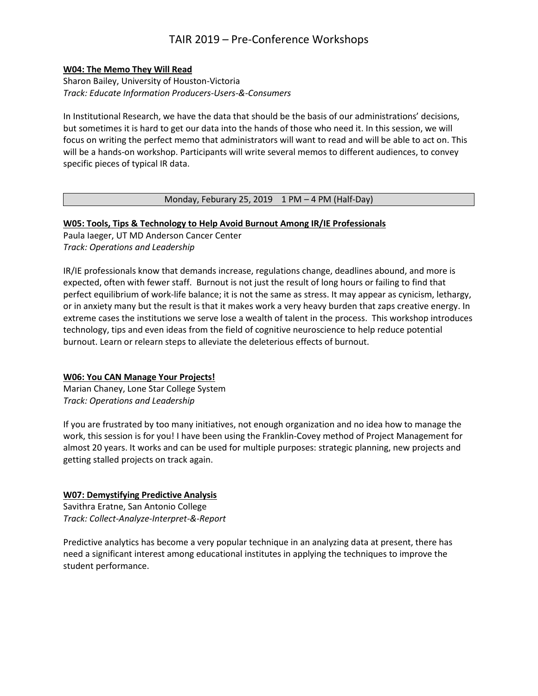# TAIR 2019 – Pre-Conference Workshops

#### **W04: The Memo They Will Read**

Sharon Bailey, University of Houston-Victoria *Track: Educate Information Producers-Users-&-Consumers*

In Institutional Research, we have the data that should be the basis of our administrations' decisions, but sometimes it is hard to get our data into the hands of those who need it. In this session, we will focus on writing the perfect memo that administrators will want to read and will be able to act on. This will be a hands-on workshop. Participants will write several memos to different audiences, to convey specific pieces of typical IR data.

## Monday, Feburary 25, 2019  $1 PM - 4 PM$  (Half-Day)

#### **W05: Tools, Tips & Technology to Help Avoid Burnout Among IR/IE Professionals**

Paula Iaeger, UT MD Anderson Cancer Center *Track: Operations and Leadership*

IR/IE professionals know that demands increase, regulations change, deadlines abound, and more is expected, often with fewer staff. Burnout is not just the result of long hours or failing to find that perfect equilibrium of work-life balance; it is not the same as stress. It may appear as cynicism, lethargy, or in anxiety many but the result is that it makes work a very heavy burden that zaps creative energy. In extreme cases the institutions we serve lose a wealth of talent in the process. This workshop introduces technology, tips and even ideas from the field of cognitive neuroscience to help reduce potential burnout. Learn or relearn steps to alleviate the deleterious effects of burnout.

## **W06: You CAN Manage Your Projects!**

Marian Chaney, Lone Star College System *Track: Operations and Leadership*

If you are frustrated by too many initiatives, not enough organization and no idea how to manage the work, this session is for you! I have been using the Franklin-Covey method of Project Management for almost 20 years. It works and can be used for multiple purposes: strategic planning, new projects and getting stalled projects on track again.

## **W07: Demystifying Predictive Analysis**

Savithra Eratne, San Antonio College *Track: Collect-Analyze-Interpret-&-Report*

Predictive analytics has become a very popular technique in an analyzing data at present, there has need a significant interest among educational institutes in applying the techniques to improve the student performance.